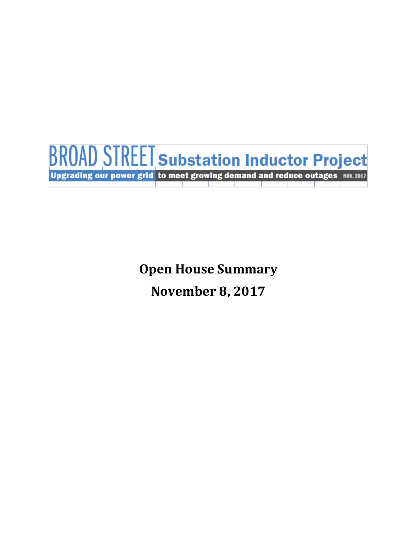

**Open House Summary November 8, 2017**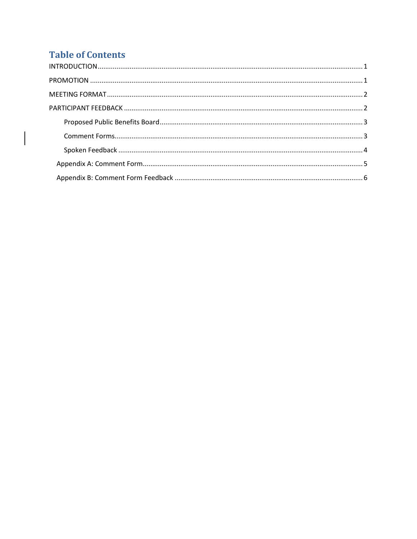# **Table of Contents**

 $\mathbf{I}$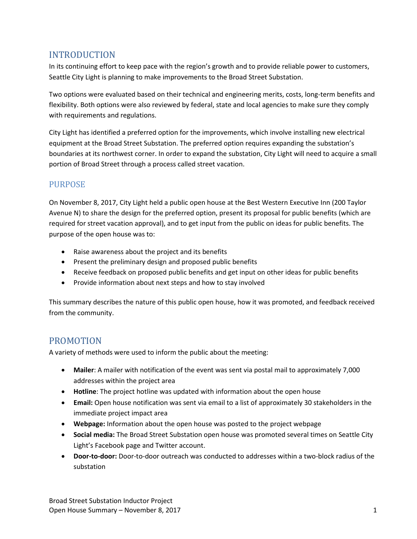## <span id="page-2-0"></span>INTRODUCTION

In its continuing effort to keep pace with the region's growth and to provide reliable power to customers, Seattle City Light is planning to make improvements to the Broad Street Substation.

Two options were evaluated based on their technical and engineering merits, costs, long-term benefits and flexibility. Both options were also reviewed by federal, state and local agencies to make sure they comply with requirements and regulations.

City Light has identified a preferred option for the improvements, which involve installing new electrical equipment at the Broad Street Substation. The preferred option requires expanding the substation's boundaries at its northwest corner. In order to expand the substation, City Light will need to acquire a small portion of Broad Street through a process called street vacation.

## **PURPOSE**

On November 8, 2017, City Light held a public open house at the Best Western Executive Inn (200 Taylor Avenue N) to share the design for the preferred option, present its proposal for public benefits (which are required for street vacation approval), and to get input from the public on ideas for public benefits. The purpose of the open house was to:

- Raise awareness about the project and its benefits
- Present the preliminary design and proposed public benefits
- Receive feedback on proposed public benefits and get input on other ideas for public benefits
- Provide information about next steps and how to stay involved

This summary describes the nature of this public open house, how it was promoted, and feedback received from the community.

## <span id="page-2-1"></span>PROMOTION

A variety of methods were used to inform the public about the meeting:

- **Mailer**: A mailer with notification of the event was sent via postal mail to approximately 7,000 addresses within the project area
- **Hotline**: The project hotline was updated with information about the open house
- **Email:** Open house notification was sent via email to a list of approximately 30 stakeholders in the immediate project impact area
- **Webpage:** Information about the open house was posted to the project webpage
- **Social media:** The Broad Street Substation open house was promoted several times on Seattle City Light's Facebook page and Twitter account.
- **Door-to-door:** Door-to-door outreach was conducted to addresses within a two-block radius of the substation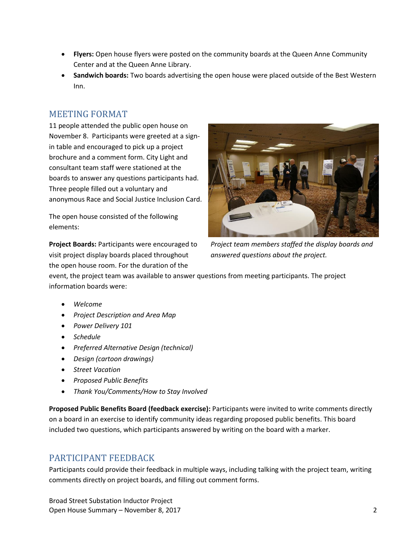- **Flyers:** Open house flyers were posted on the community boards at the Queen Anne Community Center and at the Queen Anne Library.
- **Sandwich boards:** Two boards advertising the open house were placed outside of the Best Western Inn.

## <span id="page-3-0"></span>MEETING FORMAT

11 people attended the public open house on November 8. Participants were greeted at a signin table and encouraged to pick up a project brochure and a comment form. City Light and consultant team staff were stationed at the boards to answer any questions participants had. Three people filled out a voluntary and anonymous Race and Social Justice Inclusion Card.

The open house consisted of the following elements:

**Project Boards:** Participants were encouraged to visit project display boards placed throughout the open house room. For the duration of the



*Project team members staffed the display boards and answered questions about the project.*

event, the project team was available to answer questions from meeting participants. The project information boards were:

- *Welcome*
- *Project Description and Area Map*
- *Power Delivery 101*
- *Schedule*
- *Preferred Alternative Design (technical)*
- *Design (cartoon drawings)*
- *Street Vacation*
- *Proposed Public Benefits*
- *Thank You/Comments/How to Stay Involved*

**Proposed Public Benefits Board (feedback exercise):** Participants were invited to write comments directly on a board in an exercise to identify community ideas regarding proposed public benefits. This board included two questions, which participants answered by writing on the board with a marker.

# <span id="page-3-1"></span>PARTICIPANT FEEDBACK

Participants could provide their feedback in multiple ways, including talking with the project team, writing comments directly on project boards, and filling out comment forms.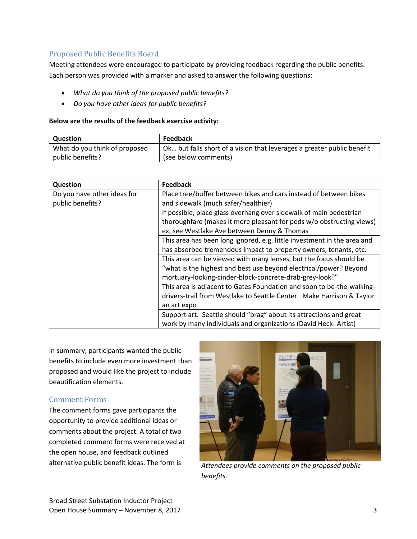#### <span id="page-4-0"></span>Proposed Public Benefits Board

Meeting attendees were encouraged to participate by providing feedback regarding the public benefits. Each person was provided with a marker and asked to answer the following questions:

- *What do you think of the proposed public benefits?*
- *Do you have other ideas for public benefits?*

#### **Below are the results of the feedback exercise activity:**

| Question                      | Feedback                                                               |
|-------------------------------|------------------------------------------------------------------------|
| What do you think of proposed | Ok but falls short of a vision that leverages a greater public benefit |
| public benefits?              | (see below comments)                                                   |

| <b>Question</b>                                 | <b>Feedback</b>                                                         |
|-------------------------------------------------|-------------------------------------------------------------------------|
| Do you have other ideas for<br>public benefits? | Place tree/buffer between bikes and cars instead of between bikes       |
|                                                 | and sidewalk (much safer/healthier)                                     |
|                                                 | If possible, place glass overhang over sidewalk of main pedestrian      |
|                                                 | thoroughfare (makes it more pleasant for peds w/o obstructing views)    |
|                                                 | ex, see Westlake Ave between Denny & Thomas                             |
|                                                 | This area has been long ignored, e.g. little investment in the area and |
|                                                 | has absorbed tremendous impact to property owners, tenants, etc.        |
|                                                 | This area can be viewed with many lenses, but the focus should be       |
|                                                 | "what is the highest and best use beyond electrical/power? Beyond       |
|                                                 | mortuary-looking-cinder-block-concrete-drab-grey-look?"                 |
|                                                 | This area is adjacent to Gates Foundation and soon to be-the-walking-   |
|                                                 | drivers-trail from Westlake to Seattle Center. Make Harrison & Taylor   |
|                                                 | an art expo                                                             |
|                                                 | Support art. Seattle should "brag" about its attractions and great      |
|                                                 | work by many individuals and organizations (David Heck-Artist)          |

In summary, participants wanted the public benefits to include even more investment than proposed and would like the project to include beautification elements.

#### <span id="page-4-1"></span>Comment Forms

The comment forms gave participants the opportunity to provide additional ideas or comments about the project. A total of two completed comment forms were received at the open house, and feedback outlined



alternative public benefit ideas. The form is *Attendees provide comments on the proposed public benefits.*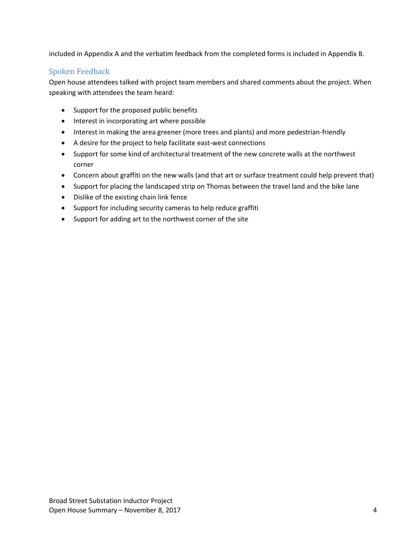included in Appendix A and the verbatim feedback from the completed forms is included in Appendix B.

## <span id="page-5-0"></span>Spoken Feedback

Open house attendees talked with project team members and shared comments about the project. When speaking with attendees the team heard:

- Support for the proposed public benefits
- Interest in incorporating art where possible
- Interest in making the area greener (more trees and plants) and more pedestrian-friendly
- A desire for the project to help facilitate east-west connections
- Support for some kind of architectural treatment of the new concrete walls at the northwest corner
- Concern about graffiti on the new walls (and that art or surface treatment could help prevent that)
- Support for placing the landscaped strip on Thomas between the travel land and the bike lane
- Dislike of the existing chain link fence
- Support for including security cameras to help reduce graffiti
- Support for adding art to the northwest corner of the site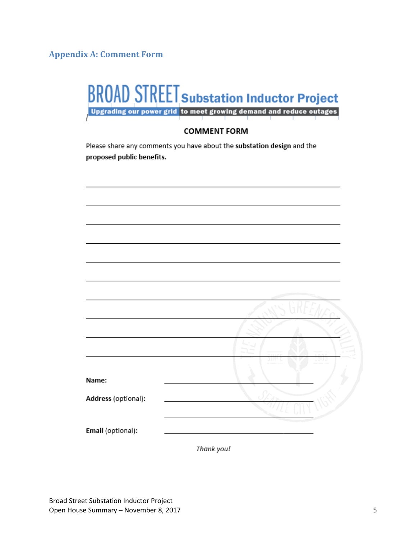<span id="page-6-0"></span>**Appendix A: Comment Form**

|                                                                                                     | <b>BROAD STREET Substation Inductor Project</b><br>Upgrading our power grid to meet growing demand and reduce outages |  |  |
|-----------------------------------------------------------------------------------------------------|-----------------------------------------------------------------------------------------------------------------------|--|--|
| <b>COMMENT FORM</b>                                                                                 |                                                                                                                       |  |  |
| Please share any comments you have about the substation design and the<br>proposed public benefits. |                                                                                                                       |  |  |
|                                                                                                     |                                                                                                                       |  |  |
|                                                                                                     |                                                                                                                       |  |  |
|                                                                                                     |                                                                                                                       |  |  |
|                                                                                                     |                                                                                                                       |  |  |
|                                                                                                     |                                                                                                                       |  |  |
|                                                                                                     |                                                                                                                       |  |  |
|                                                                                                     |                                                                                                                       |  |  |
| Name:                                                                                               |                                                                                                                       |  |  |
| Address (optional):                                                                                 |                                                                                                                       |  |  |
| Email (optional):                                                                                   |                                                                                                                       |  |  |

Thank you!